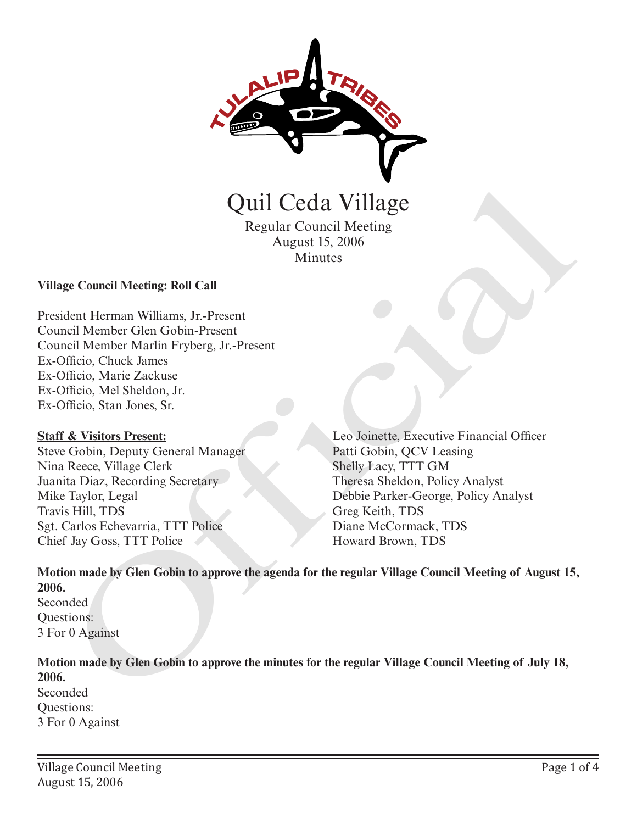

Quil Ceda Village

Regular Council Meeting August 15, 2006 Minutes

#### **Village Council Meeting: Roll Call**

President Herman Williams, Jr.-Present Council Member Glen Gobin-Present Council Member Marlin Fryberg, Jr.-Present Ex-Officio, Chuck James Ex-Officio, Marie Zackuse Ex-Officio, Mel Sheldon, Jr. Ex-Officio, Stan Jones, Sr.

#### **Staff & Visitors Present:**

Steve Gobin, Deputy General Manager Nina Reece, Village Clerk Juanita Diaz, Recording Secretary Mike Taylor, Legal Travis Hill, TDS Sgt. Carlos Echevarria, TTT Police Chief Jay Goss, TTT Police

Leo Joinette, Executive Financial Officer Patti Gobin, QCV Leasing Shelly Lacy, TTT GM Theresa Sheldon, Policy Analyst Debbie Parker-George, Policy Analyst Greg Keith, TDS Diane McCormack, TDS **CECA Village**<br>
Regular Council Meeting<br>
Regular Council Meeting<br>
(August 15, 2006)<br>
Minutes<br>
Member Clen Gobin-Present<br>
Indico, Chuck James<br>
Inflicia, Chuck James<br>
Difficial Member Clen Gobin-Present<br>
Inflicia, Marie Zeck

**Motion made by Glen Gobin to approve the agenda for the regular Village Council Meeting of August 15, 2006.**

Seconded Questions: 3 For 0 Against

## **Motion made by Glen Gobin to approve the minutes for the regular Village Council Meeting of July 18, 2006.**

Seconded Questions: 3 For 0 Against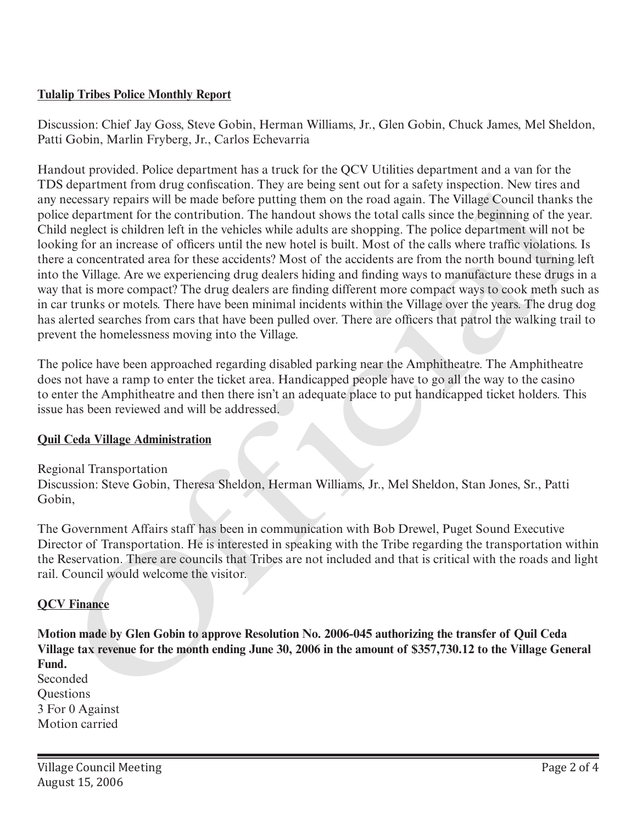### **Tulalip Tribes Police Monthly Report**

Discussion: Chief Jay Goss, Steve Gobin, Herman Williams, Jr., Glen Gobin, Chuck James, Mel Sheldon, Patti Gobin, Marlin Fryberg, Jr., Carlos Echevarria

Handout provided. Police department has a truck for the QCV Utilities department and a van for the TDS department from drug confiscation. They are being sent out for a safety inspection. New tires and any necessary repairs will be made before putting them on the road again. The Village Council thanks the police department for the contribution. The handout shows the total calls since the beginning of the year. Child neglect is children left in the vehicles while adults are shopping. The police department will not be looking for an increase of officers until the new hotel is built. Most of the calls where traffic violations. Is there a concentrated area for these accidents? Most of the accidents are from the north bound turning left into the Village. Are we experiencing drug dealers hiding and finding ways to manufacture these drugs in a way that is more compact? The drug dealers are finding different more compact ways to cook meth such as in car trunks or motels. There have been minimal incidents within the Village over the years. The drug dog has alerted searches from cars that have been pulled over. There are officers that patrol the walking trail to prevent the homelessness moving into the Village. department Trom ang connectation. They are being sent out for a starty inspection. New tires are<br>conserver priori by the mode before putting them on the road again. The Village Council thanks<br>cocossary repairs will be made

The police have been approached regarding disabled parking near the Amphitheatre. The Amphitheatre does not have a ramp to enter the ticket area. Handicapped people have to go all the way to the casino to enter the Amphitheatre and then there isn't an adequate place to put handicapped ticket holders. This issue has been reviewed and will be addressed.

#### **Quil Ceda Village Administration**

Regional Transportation

Discussion: Steve Gobin, Theresa Sheldon, Herman Williams, Jr., Mel Sheldon, Stan Jones, Sr., Patti Gobin,

The Government Affairs staff has been in communication with Bob Drewel, Puget Sound Executive Director of Transportation. He is interested in speaking with the Tribe regarding the transportation within the Reservation. There are councils that Tribes are not included and that is critical with the roads and light rail. Council would welcome the visitor.

### **QCV Finance**

**Motion made by Glen Gobin to approve Resolution No. 2006-045 authorizing the transfer of Quil Ceda Village tax revenue for the month ending June 30, 2006 in the amount of \$357,730.12 to the Village General Fund.**

Seconded **Ouestions** 3 For 0 Against Motion carried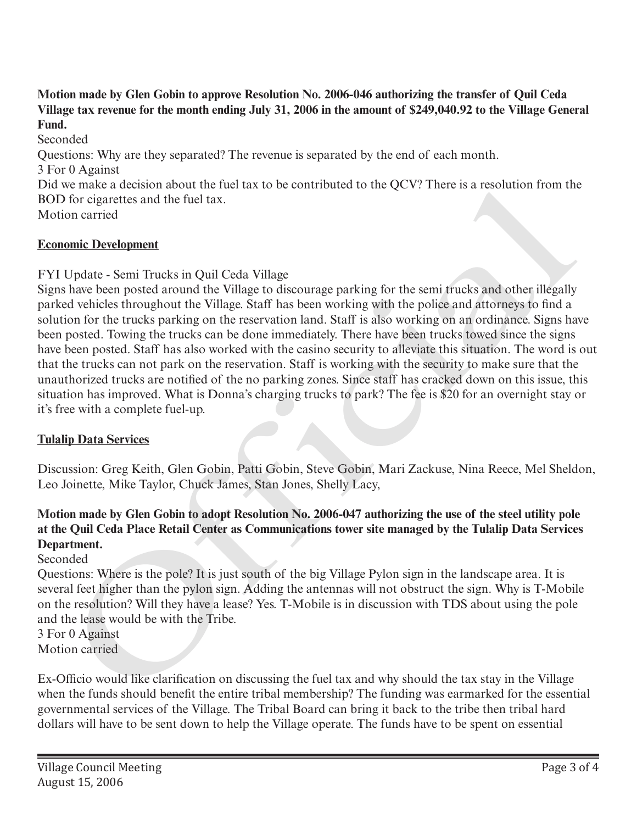**Motion made by Glen Gobin to approve Resolution No. 2006-046 authorizing the transfer of Quil Ceda Village tax revenue for the month ending July 31, 2006 in the amount of \$249,040.92 to the Village General Fund.**

Seconded

Questions: Why are they separated? The revenue is separated by the end of each month.

3 For 0 Against

Did we make a decision about the fuel tax to be contributed to the QCV? There is a resolution from the BOD for cigarettes and the fuel tax.

Motion carried

# **Economic Development**

FYI Update - Semi Trucks in Quil Ceda Village

Signs have been posted around the Village to discourage parking for the semi trucks and other illegally parked vehicles throughout the Village. Staff has been working with the police and attorneys to find a solution for the trucks parking on the reservation land. Staff is also working on an ordinance. Signs have been posted. Towing the trucks can be done immediately. There have been trucks towed since the signs have been posted. Staff has also worked with the casino security to alleviate this situation. The word is out that the trucks can not park on the reservation. Staff is working with the security to make sure that the unauthorized trucks are notified of the no parking zones. Since staff has cracked down on this issue, this situation has improved. What is Donna's charging trucks to park? The fee is \$20 for an overnight stay or it's free with a complete fuel-up. we make a accession anotat the meli tax to be contributed to the QU. Y: I nere is a resolution from the Direction and access of the United Clycket Sin Clycket Sin Clycket Sin Clycket Sin Clycket Sin Clycket Sin Clycket Sin

# **Tulalip Data Services**

Discussion: Greg Keith, Glen Gobin, Patti Gobin, Steve Gobin, Mari Zackuse, Nina Reece, Mel Sheldon, Leo Joinette, Mike Taylor, Chuck James, Stan Jones, Shelly Lacy,

## **Motion made by Glen Gobin to adopt Resolution No. 2006-047 authorizing the use of the steel utility pole at the Quil Ceda Place Retail Center as Communications tower site managed by the Tulalip Data Services Department.**

Seconded

Questions: Where is the pole? It is just south of the big Village Pylon sign in the landscape area. It is several feet higher than the pylon sign. Adding the antennas will not obstruct the sign. Why is T-Mobile on the resolution? Will they have a lease? Yes. T-Mobile is in discussion with TDS about using the pole and the lease would be with the Tribe.

3 For 0 Against

Motion carried

Ex-Officio would like clarification on discussing the fuel tax and why should the tax stay in the Village when the funds should benefit the entire tribal membership? The funding was earmarked for the essential governmental services of the Village. The Tribal Board can bring it back to the tribe then tribal hard dollars will have to be sent down to help the Village operate. The funds have to be spent on essential